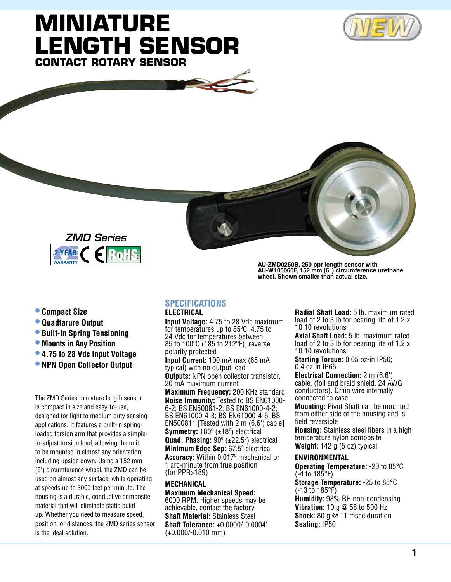# **Miniature Length Sensor Contact Rotary Sensor**







- **• Compact Size**
- **• Quadtarure Output**
- **• Built-In Spring Tensioning**
- **• Mounts in Any Position**
- **• 4.75 to 28 Vdc Input Voltage**
- **• NPN Open Collector Output**

The ZMD Series miniature length sensor is compact in size and easy-to-use, designed for light to medium duty sensing applications. It features a built-in springloaded torsion arm that provides a simpleto-adjust torsion load, allowing the unit to be mounted in almost any orientation, including upside down. Using a 152 mm (6") circumference wheel, the ZMD can be used on almost any surface, while operating at speeds up to 3000 feet per minute. The housing is a durable, conductive composite material that will eliminate static build up. Whether you need to measure speed, position, or distances, the ZMD series sensor is the ideal solution.

**AU-ZMD0250B, 250 ppr length sensor with AU-W100060F, 152 mm (6") circumference urethane wheel. Shown smaller than actual size.**

#### **Specifications**

### **ELECTRICAL**

**Input Voltage:** 4.75 to 28 Vdc maximum for temperatures up to 85ºC; 4.75 to 24 Vdc for temperatures between 85 to 100ºC (185 to 212°F), reverse polarity protected

**Input Current:** 100 mA max (65 mA typical) with no output load

**Outputs:** NPN open collector transistor, 20 mA maximum current

**Maximum Frequency:** 200 KHz standard **Noise Immunity:** Tested to BS EN61000- 6-2; BS EN50081-2; BS EN61000-4-2; BS EN61000-4-3; BS EN61000-4-6, BS EN500811 [Tested with 2 m (6.6') cable] **Symmetry:** 180º (±18º) electrical **Quad. Phasing:** 90º (±22.5º) electrical **Minimum Edge Sep:** 67.5º electrical **Accuracy:** Within 0.017º mechanical or 1 arc-minute from true position (for PPR>189)

### **MECHANICAL**

**Maximum Mechanical Speed:** 6000 RPM. Higher speeds may be achievable, contact the factory **Shaft Material:** Stainless Steel **Shaft Tolerance:** +0.0000/-0.0004" (+0.000/-0.010 mm)

**Radial Shaft Load:** 5 lb. maximum rated load of 2 to 3 lb for bearing life of 1.2 x 10 10 revolutions

**Axial Shaft Load:** 5 lb. maximum rated load of 2 to 3 lb for bearing life of 1.2 x 10 10 revolutions

**Starting Torque:** 0.05 oz-in IP50; 0.4 oz-in IP65

**Electrical Connection:** 2 m (6.6') cable, (foil and braid shield, 24 AWG conductors). Drain wire internally connected to case

**Mounting:** Pivot Shaft can be mounted from either side of the housing and is field reversible

**Housing:** Stainless steel fibers in a high temperature nylon composite **Weight:** 142 g (5 oz) typical

#### **ENVIRONMENTAL**

**Operating Temperature:** -20 to 85°C (-4 to 185°F)

**Storage Temperature:** -25 to 85°C (-13 to 185°F) **Humidity:** 98% RH non-condensing **Vibration:** 10 g @ 58 to 500 Hz **Shock:** 80 g @ 11 msec duration **Sealing:** IP50